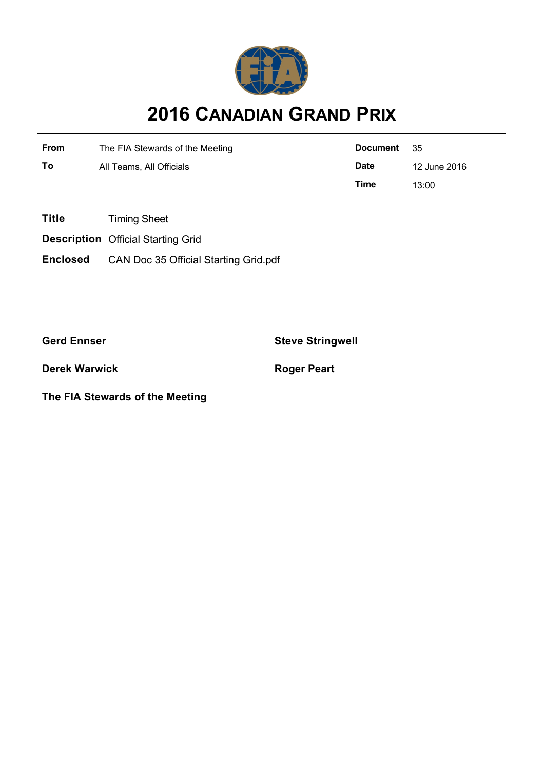

## **2016 CANADIAN GRAND PRIX**

| From | The FIA Stewards of the Meeting | <b>Document</b> | - 35         |
|------|---------------------------------|-----------------|--------------|
| To   | All Teams, All Officials        | <b>Date</b>     | 12 June 2016 |
|      |                                 | Time            | 13:00        |

**Title** Timing Sheet

**Description** Official Starting Grid

**Enclosed** CAN Doc 35 Official Starting Grid.pdf

**Gerd Ennser Steve Stringwell**

**Derek Warwick Roger Peart** 

**The FIA Stewards of the Meeting**